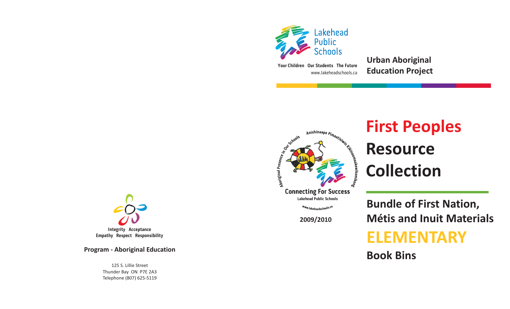

www.lakeheadschools.ca**Your Children Our Students The Future** **Urban Aboriginal Education Project**



# **First Peoples**<br> **Resource**<br> **E** Collection **ResourceCollection**

**Connecting For Success Lakehead Public Schools**

Www.lakeheadschools.ca

**2009/2010**

**Bundle of First Nation, Métis and Inuit Materials**

## **ELEMENTARY**

**Book Bins**



**Empathy Respect Responsibility**

**Program - Aboriginal Education**

125 S. Lillie StreetThunder Bay ON P7E 2A3 Telephone (807) 625-5119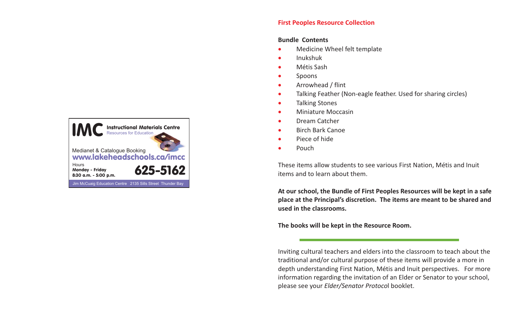### **Instructional Materials Centre**<br>Resources for Education Medianet & Catalogue Booking www.lakeheadschools.ca/imcc625-5162Jim McCuaig Education Centre 2135 Sills Street Thunder Bay **Hours** Monday - Friday 8:30 a.m. - 5:00 p.m.

#### **First Peoples Resource Collection**

#### **Bundle Contents**

- $\bullet$ Medicine Wheel felt template
- $\bullet$ Inukshuk
- $\bullet$ Métis Sash
- $\bullet$ Spoons
- $\bullet$ Arrowhead / flint
- $\bullet$ Talking Feather (Non-eagle feather. Used for sharing circles)
- $\bullet$ Talking Stones
- $\bullet$ Miniature Moccasin
- $\bullet$ Dream Catcher
- $\bullet$ Birch Bark Canoe
- $\bullet$ Piece of hide
- $\bullet$ Pouch

These items allow students to see various First Nation, Métis and Inuit items and to learn about them.

At our school, the Bundle of First Peoples Resources will be kept in a safe place at the Principal's discretion. The items are meant to be shared and **used in the classrooms.**

**The books will be kept in the Resource Room.**

Inviting cultural teachers and elders into the classroom to teach about the traditional and/or cultural purpose of these items will provide <sup>a</sup> more in depth understanding First Nation, Métis and Inuit perspectives. For more information regarding the invitation of an Elder or Senator to your school, please see your *Elder/Senator Protocol* booklet.